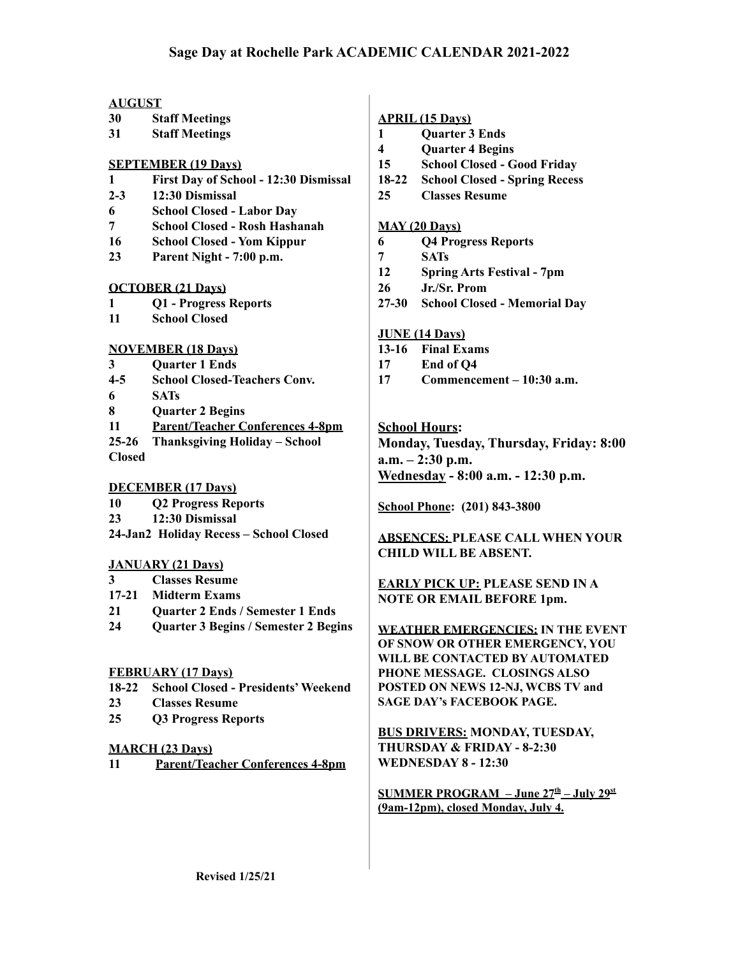# **AUGUST**

- **30 Staff Meetings**
- **31 Staff Meetings**

## **SEPTEMBER (19 Days)**

- **1 First Day of School 12:30 Dismissal**
- **2-3 12:30 Dismissal**
- **6 School Closed Labor Day**
- **7 School Closed Rosh Hashanah**
- **16 School Closed Yom Kippur**
- **23 Parent Night 7:00 p.m.**

### **OCTOBER (21 Days)**

- **1 Q1 Progress Reports**
- **11 School Closed**

### **NOVEMBER (18 Days)**

- **3 Quarter 1 Ends**
- **4-5 School Closed-Teachers Conv.**
- **6 SATs**
- **8 Quarter 2 Begins**
- **11 Parent/Teacher Conferences 4-8pm**
- **25-26 Thanksgiving Holiday School Closed**

# **DECEMBER (17 Days)**

- **10 Q2 Progress Reports**
- **23 12:30 Dismissal**
- **24-Jan2 Holiday Recess School Closed**

# **JANUARY (21 Days)**

- **3 Classes Resume**
- **17-21 Midterm Exams**
- **21 Quarter 2 Ends / Semester 1 Ends**
- **24 Quarter 3 Begins / Semester 2 Begins**

#### **FEBRUARY (17 Days)**

- **18-22 School Closed Presidents'Weekend**
- **23 Classes Resume**
- **25 Q3 Progress Reports**

### **MARCH (23 Days)**

**11 Parent/Teacher Conferences 4-8pm**

### **APRIL (15 Days)**

- **1 Quarter 3 Ends**
- **4 Quarter 4 Begins**
- **15 School Closed Good Friday**
- **18-22 School Closed Spring Recess**
- **25 Classes Resume**

# **MAY (20 Days)**

- **6 Q4 Progress Reports**
- **7 SATs**
- **12 Spring Arts Festival 7pm**
- **26 Jr./Sr. Prom**
- **27-30 School Closed Memorial Day**

### **JUNE (14 Days)**

- **13-16 Final Exams**
- **17 End of Q4**
- **17 Commencement 10:30 a.m.**

# **School Hours:**

**Monday, Tuesday, Thursday, Friday: 8:00 a.m. – 2:30 p.m. Wednesday - 8:00 a.m. - 12:30 p.m.**

**School Phone: (201) 843-3800**

**ABSENCES: PLEASE CALL WHEN YOUR CHILD WILL BE ABSENT.**

**EARLY PICK UP: PLEASE SEND IN A NOTE OR EMAIL BEFORE 1pm.**

**WEATHER EMERGENCIES: IN THE EVENT OF SNOW OR OTHER EMERGENCY, YOU WILL BE CONTACTED BY AUTOMATED PHONE MESSAGE. CLOSINGS ALSO POSTED ON NEWS 12-NJ, WCBS TV and SAGE DAY's FACEBOOK PAGE.**

**BUS DRIVERS: MONDAY, TUESDAY, THURSDAY & FRIDAY - 8-2:30 WEDNESDAY 8 - 12:30**

**SUMMER PROGRAM – June 27 th – July 29 st (9am-12pm), closed Monday, July 4.**